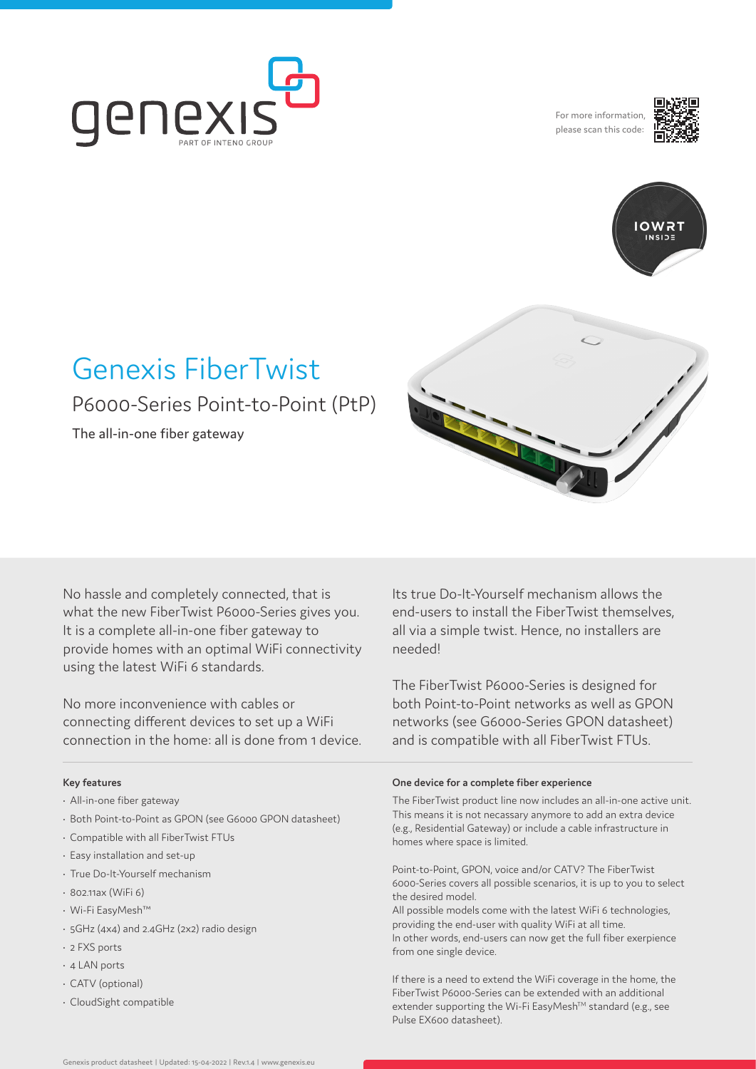

For more information, please scan this code:





# Genexis FiberTwist P6000-Series Point-to-Point (PtP)

The all-in-one fiber gateway

No hassle and completely connected, that is what the new FiberTwist P6000-Series gives you. It is a complete all-in-one fiber gateway to provide homes with an optimal WiFi connectivity using the latest WiFi 6 standards.

No more inconvenience with cables or connecting different devices to set up a WiFi connection in the home: all is done from 1 device.

#### **Key features**

- All-in-one fiber gateway
- Both Point-to-Point as GPON (see G6000 GPON datasheet)
- Compatible with all FiberTwist FTUs
- Easy installation and set-up
- True Do-It-Yourself mechanism
- 802.11ax (WiFi 6)
- Wi-Fi EasyMesh™
- 5GHz (4x4) and 2.4GHz (2x2) radio design
- 2 FXS ports
- 4 LAN ports
- CATV (optional)
- CloudSight compatible

Its true Do-It-Yourself mechanism allows the end-users to install the FiberTwist themselves, all via a simple twist. Hence, no installers are needed!

The FiberTwist P6000-Series is designed for both Point-to-Point networks as well as GPON networks (see G6000-Series GPON datasheet) and is compatible with all FiberTwist FTUs.

#### **One device for a complete fiber experience**

The FiberTwist product line now includes an all-in-one active unit. This means it is not necassary anymore to add an extra device (e.g., Residential Gateway) or include a cable infrastructure in homes where space is limited.

Point-to-Point, GPON, voice and/or CATV? The FiberTwist 6000-Series covers all possible scenarios, it is up to you to select the desired model.

All possible models come with the latest WiFi 6 technologies, providing the end-user with quality WiFi at all time. In other words, end-users can now get the full fiber exerpience from one single device.

If there is a need to extend the WiFi coverage in the home, the FiberTwist P6000-Series can be extended with an additional extender supporting the Wi-Fi EasyMesh™ standard (e.g., see Pulse EX600 datasheet).